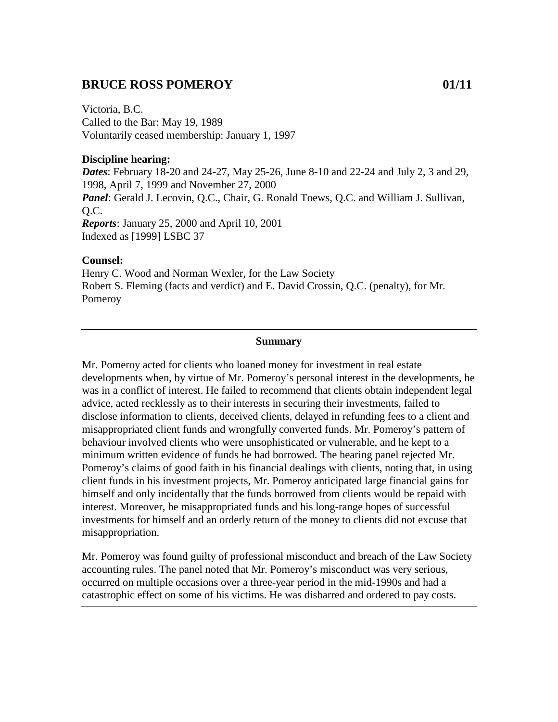## **BRUCE ROSS POMEROY 01/11**

Victoria, B.C. Called to the Bar: May 19, 1989 Voluntarily ceased membership: January 1, 1997

#### **Discipline hearing:**

*Dates*: February 18-20 and 24-27, May 25-26, June 8-10 and 22-24 and July 2, 3 and 29, 1998, April 7, 1999 and November 27, 2000 *Panel*: Gerald J. Lecovin, Q.C., Chair, G. Ronald Toews, Q.C. and William J. Sullivan, Q.C. *Reports*: January 25, 2000 and April 10, 2001 Indexed as [1999] LSBC 37

#### **Counsel:**

Henry C. Wood and Norman Wexler, for the Law Society Robert S. Fleming (facts and verdict) and E. David Crossin, Q.C. (penalty), for Mr. Pomeroy

#### **Summary**

Mr. Pomeroy acted for clients who loaned money for investment in real estate developments when, by virtue of Mr. Pomeroy's personal interest in the developments, he was in a conflict of interest. He failed to recommend that clients obtain independent legal advice, acted recklessly as to their interests in securing their investments, failed to disclose information to clients, deceived clients, delayed in refunding fees to a client and misappropriated client funds and wrongfully converted funds. Mr. Pomeroy's pattern of behaviour involved clients who were unsophisticated or vulnerable, and he kept to a minimum written evidence of funds he had borrowed. The hearing panel rejected Mr. Pomeroy's claims of good faith in his financial dealings with clients, noting that, in using client funds in his investment projects, Mr. Pomeroy anticipated large financial gains for himself and only incidentally that the funds borrowed from clients would be repaid with interest. Moreover, he misappropriated funds and his long-range hopes of successful investments for himself and an orderly return of the money to clients did not excuse that misappropriation.

Mr. Pomeroy was found guilty of professional misconduct and breach of the Law Society accounting rules. The panel noted that Mr. Pomeroy's misconduct was very serious, occurred on multiple occasions over a three-year period in the mid-1990s and had a catastrophic effect on some of his victims. He was disbarred and ordered to pay costs.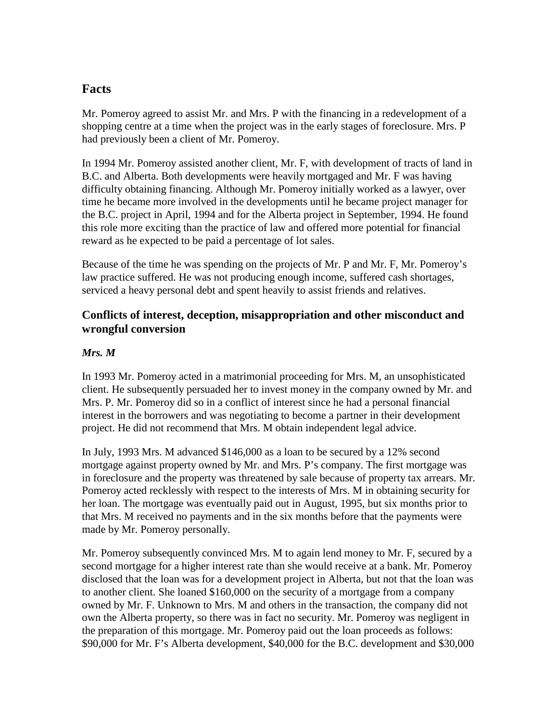# **Facts**

Mr. Pomeroy agreed to assist Mr. and Mrs. P with the financing in a redevelopment of a shopping centre at a time when the project was in the early stages of foreclosure. Mrs. P had previously been a client of Mr. Pomeroy.

In 1994 Mr. Pomeroy assisted another client, Mr. F, with development of tracts of land in B.C. and Alberta. Both developments were heavily mortgaged and Mr. F was having difficulty obtaining financing. Although Mr. Pomeroy initially worked as a lawyer, over time he became more involved in the developments until he became project manager for the B.C. project in April, 1994 and for the Alberta project in September, 1994. He found this role more exciting than the practice of law and offered more potential for financial reward as he expected to be paid a percentage of lot sales.

Because of the time he was spending on the projects of Mr. P and Mr. F, Mr. Pomeroy's law practice suffered. He was not producing enough income, suffered cash shortages, serviced a heavy personal debt and spent heavily to assist friends and relatives.

## **Conflicts of interest, deception, misappropriation and other misconduct and wrongful conversion**

#### *Mrs. M*

In 1993 Mr. Pomeroy acted in a matrimonial proceeding for Mrs. M, an unsophisticated client. He subsequently persuaded her to invest money in the company owned by Mr. and Mrs. P. Mr. Pomeroy did so in a conflict of interest since he had a personal financial interest in the borrowers and was negotiating to become a partner in their development project. He did not recommend that Mrs. M obtain independent legal advice.

In July, 1993 Mrs. M advanced \$146,000 as a loan to be secured by a 12% second mortgage against property owned by Mr. and Mrs. P's company. The first mortgage was in foreclosure and the property was threatened by sale because of property tax arrears. Mr. Pomeroy acted recklessly with respect to the interests of Mrs. M in obtaining security for her loan. The mortgage was eventually paid out in August, 1995, but six months prior to that Mrs. M received no payments and in the six months before that the payments were made by Mr. Pomeroy personally.

Mr. Pomeroy subsequently convinced Mrs. M to again lend money to Mr. F, secured by a second mortgage for a higher interest rate than she would receive at a bank. Mr. Pomeroy disclosed that the loan was for a development project in Alberta, but not that the loan was to another client. She loaned \$160,000 on the security of a mortgage from a company owned by Mr. F. Unknown to Mrs. M and others in the transaction, the company did not own the Alberta property, so there was in fact no security. Mr. Pomeroy was negligent in the preparation of this mortgage. Mr. Pomeroy paid out the loan proceeds as follows: \$90,000 for Mr. F's Alberta development, \$40,000 for the B.C. development and \$30,000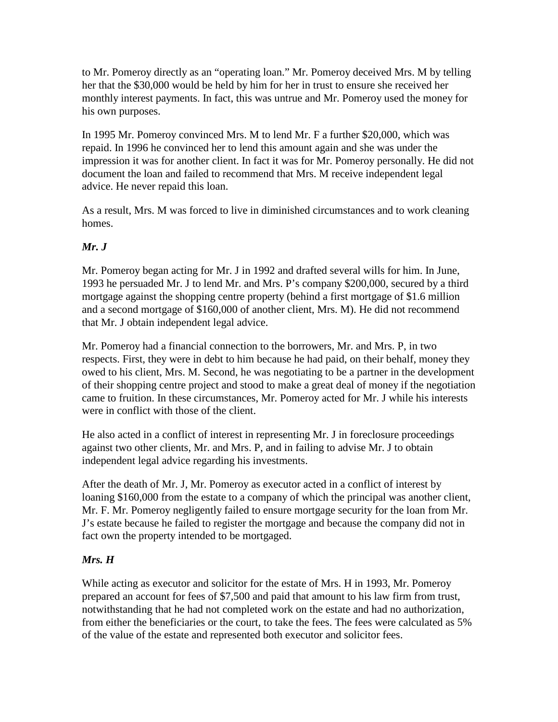to Mr. Pomeroy directly as an "operating loan." Mr. Pomeroy deceived Mrs. M by telling her that the \$30,000 would be held by him for her in trust to ensure she received her monthly interest payments. In fact, this was untrue and Mr. Pomeroy used the money for his own purposes.

In 1995 Mr. Pomeroy convinced Mrs. M to lend Mr. F a further \$20,000, which was repaid. In 1996 he convinced her to lend this amount again and she was under the impression it was for another client. In fact it was for Mr. Pomeroy personally. He did not document the loan and failed to recommend that Mrs. M receive independent legal advice. He never repaid this loan.

As a result, Mrs. M was forced to live in diminished circumstances and to work cleaning homes.

## *Mr. J*

Mr. Pomeroy began acting for Mr. J in 1992 and drafted several wills for him. In June, 1993 he persuaded Mr. J to lend Mr. and Mrs. P's company \$200,000, secured by a third mortgage against the shopping centre property (behind a first mortgage of \$1.6 million and a second mortgage of \$160,000 of another client, Mrs. M). He did not recommend that Mr. J obtain independent legal advice.

Mr. Pomeroy had a financial connection to the borrowers, Mr. and Mrs. P, in two respects. First, they were in debt to him because he had paid, on their behalf, money they owed to his client, Mrs. M. Second, he was negotiating to be a partner in the development of their shopping centre project and stood to make a great deal of money if the negotiation came to fruition. In these circumstances, Mr. Pomeroy acted for Mr. J while his interests were in conflict with those of the client.

He also acted in a conflict of interest in representing Mr. J in foreclosure proceedings against two other clients, Mr. and Mrs. P, and in failing to advise Mr. J to obtain independent legal advice regarding his investments.

After the death of Mr. J, Mr. Pomeroy as executor acted in a conflict of interest by loaning \$160,000 from the estate to a company of which the principal was another client, Mr. F. Mr. Pomeroy negligently failed to ensure mortgage security for the loan from Mr. J's estate because he failed to register the mortgage and because the company did not in fact own the property intended to be mortgaged.

## *Mrs. H*

While acting as executor and solicitor for the estate of Mrs. H in 1993, Mr. Pomeroy prepared an account for fees of \$7,500 and paid that amount to his law firm from trust, notwithstanding that he had not completed work on the estate and had no authorization, from either the beneficiaries or the court, to take the fees. The fees were calculated as 5% of the value of the estate and represented both executor and solicitor fees.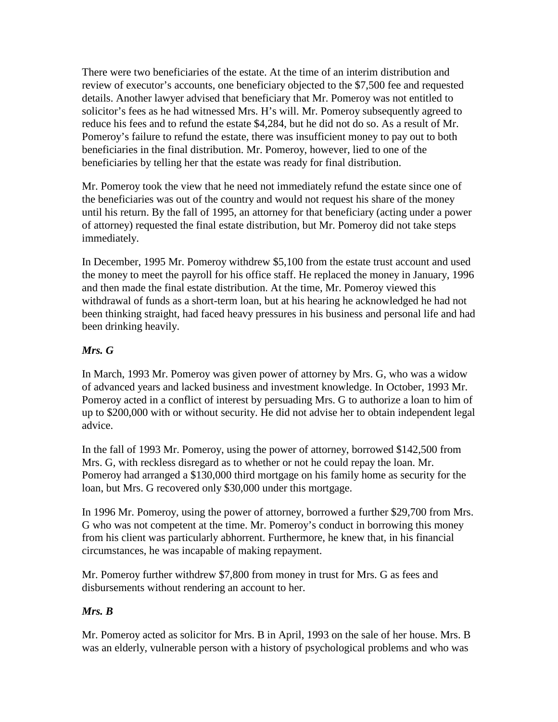There were two beneficiaries of the estate. At the time of an interim distribution and review of executor's accounts, one beneficiary objected to the \$7,500 fee and requested details. Another lawyer advised that beneficiary that Mr. Pomeroy was not entitled to solicitor's fees as he had witnessed Mrs. H's will. Mr. Pomeroy subsequently agreed to reduce his fees and to refund the estate \$4,284, but he did not do so. As a result of Mr. Pomeroy's failure to refund the estate, there was insufficient money to pay out to both beneficiaries in the final distribution. Mr. Pomeroy, however, lied to one of the beneficiaries by telling her that the estate was ready for final distribution.

Mr. Pomeroy took the view that he need not immediately refund the estate since one of the beneficiaries was out of the country and would not request his share of the money until his return. By the fall of 1995, an attorney for that beneficiary (acting under a power of attorney) requested the final estate distribution, but Mr. Pomeroy did not take steps immediately.

In December, 1995 Mr. Pomeroy withdrew \$5,100 from the estate trust account and used the money to meet the payroll for his office staff. He replaced the money in January, 1996 and then made the final estate distribution. At the time, Mr. Pomeroy viewed this withdrawal of funds as a short-term loan, but at his hearing he acknowledged he had not been thinking straight, had faced heavy pressures in his business and personal life and had been drinking heavily.

#### *Mrs. G*

In March, 1993 Mr. Pomeroy was given power of attorney by Mrs. G, who was a widow of advanced years and lacked business and investment knowledge. In October, 1993 Mr. Pomeroy acted in a conflict of interest by persuading Mrs. G to authorize a loan to him of up to \$200,000 with or without security. He did not advise her to obtain independent legal advice.

In the fall of 1993 Mr. Pomeroy, using the power of attorney, borrowed \$142,500 from Mrs. G, with reckless disregard as to whether or not he could repay the loan. Mr. Pomeroy had arranged a \$130,000 third mortgage on his family home as security for the loan, but Mrs. G recovered only \$30,000 under this mortgage.

In 1996 Mr. Pomeroy, using the power of attorney, borrowed a further \$29,700 from Mrs. G who was not competent at the time. Mr. Pomeroy's conduct in borrowing this money from his client was particularly abhorrent. Furthermore, he knew that, in his financial circumstances, he was incapable of making repayment.

Mr. Pomeroy further withdrew \$7,800 from money in trust for Mrs. G as fees and disbursements without rendering an account to her.

#### *Mrs. B*

Mr. Pomeroy acted as solicitor for Mrs. B in April, 1993 on the sale of her house. Mrs. B was an elderly, vulnerable person with a history of psychological problems and who was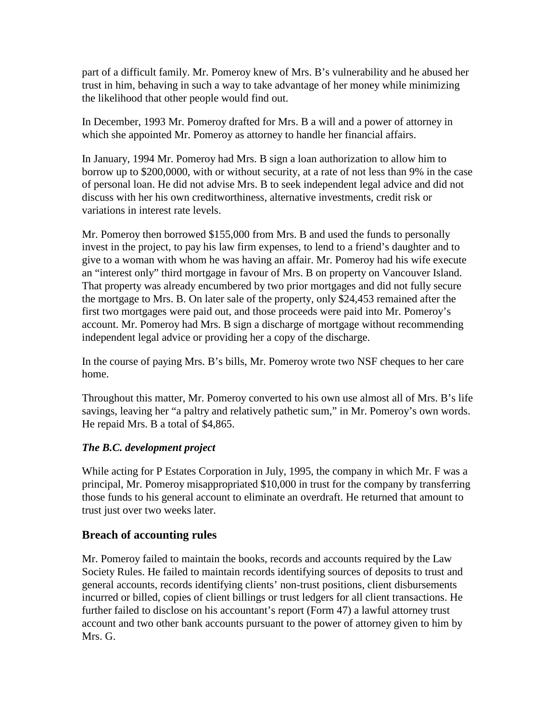part of a difficult family. Mr. Pomeroy knew of Mrs. B's vulnerability and he abused her trust in him, behaving in such a way to take advantage of her money while minimizing the likelihood that other people would find out.

In December, 1993 Mr. Pomeroy drafted for Mrs. B a will and a power of attorney in which she appointed Mr. Pomeroy as attorney to handle her financial affairs.

In January, 1994 Mr. Pomeroy had Mrs. B sign a loan authorization to allow him to borrow up to \$200,0000, with or without security, at a rate of not less than 9% in the case of personal loan. He did not advise Mrs. B to seek independent legal advice and did not discuss with her his own creditworthiness, alternative investments, credit risk or variations in interest rate levels.

Mr. Pomeroy then borrowed \$155,000 from Mrs. B and used the funds to personally invest in the project, to pay his law firm expenses, to lend to a friend's daughter and to give to a woman with whom he was having an affair. Mr. Pomeroy had his wife execute an "interest only" third mortgage in favour of Mrs. B on property on Vancouver Island. That property was already encumbered by two prior mortgages and did not fully secure the mortgage to Mrs. B. On later sale of the property, only \$24,453 remained after the first two mortgages were paid out, and those proceeds were paid into Mr. Pomeroy's account. Mr. Pomeroy had Mrs. B sign a discharge of mortgage without recommending independent legal advice or providing her a copy of the discharge.

In the course of paying Mrs. B's bills, Mr. Pomeroy wrote two NSF cheques to her care home.

Throughout this matter, Mr. Pomeroy converted to his own use almost all of Mrs. B's life savings, leaving her "a paltry and relatively pathetic sum," in Mr. Pomeroy's own words. He repaid Mrs. B a total of \$4,865.

## *The B.C. development project*

While acting for P Estates Corporation in July, 1995, the company in which Mr. F was a principal, Mr. Pomeroy misappropriated \$10,000 in trust for the company by transferring those funds to his general account to eliminate an overdraft. He returned that amount to trust just over two weeks later.

## **Breach of accounting rules**

Mr. Pomeroy failed to maintain the books, records and accounts required by the Law Society Rules. He failed to maintain records identifying sources of deposits to trust and general accounts, records identifying clients' non-trust positions, client disbursements incurred or billed, copies of client billings or trust ledgers for all client transactions. He further failed to disclose on his accountant's report (Form 47) a lawful attorney trust account and two other bank accounts pursuant to the power of attorney given to him by Mrs. G.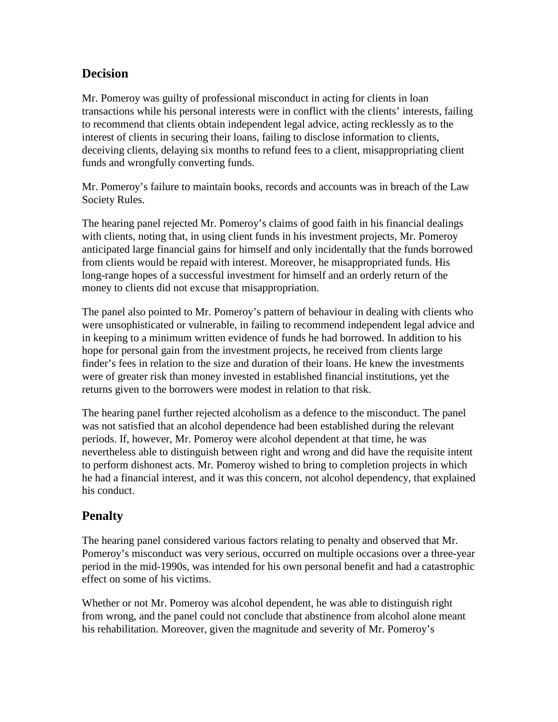# **Decision**

Mr. Pomeroy was guilty of professional misconduct in acting for clients in loan transactions while his personal interests were in conflict with the clients' interests, failing to recommend that clients obtain independent legal advice, acting recklessly as to the interest of clients in securing their loans, failing to disclose information to clients, deceiving clients, delaying six months to refund fees to a client, misappropriating client funds and wrongfully converting funds.

Mr. Pomeroy's failure to maintain books, records and accounts was in breach of the Law Society Rules.

The hearing panel rejected Mr. Pomeroy's claims of good faith in his financial dealings with clients, noting that, in using client funds in his investment projects, Mr. Pomeroy anticipated large financial gains for himself and only incidentally that the funds borrowed from clients would be repaid with interest. Moreover, he misappropriated funds. His long-range hopes of a successful investment for himself and an orderly return of the money to clients did not excuse that misappropriation.

The panel also pointed to Mr. Pomeroy's pattern of behaviour in dealing with clients who were unsophisticated or vulnerable, in failing to recommend independent legal advice and in keeping to a minimum written evidence of funds he had borrowed. In addition to his hope for personal gain from the investment projects, he received from clients large finder's fees in relation to the size and duration of their loans. He knew the investments were of greater risk than money invested in established financial institutions, yet the returns given to the borrowers were modest in relation to that risk.

The hearing panel further rejected alcoholism as a defence to the misconduct. The panel was not satisfied that an alcohol dependence had been established during the relevant periods. If, however, Mr. Pomeroy were alcohol dependent at that time, he was nevertheless able to distinguish between right and wrong and did have the requisite intent to perform dishonest acts. Mr. Pomeroy wished to bring to completion projects in which he had a financial interest, and it was this concern, not alcohol dependency, that explained his conduct.

# **Penalty**

The hearing panel considered various factors relating to penalty and observed that Mr. Pomeroy's misconduct was very serious, occurred on multiple occasions over a three-year period in the mid-1990s, was intended for his own personal benefit and had a catastrophic effect on some of his victims.

Whether or not Mr. Pomeroy was alcohol dependent, he was able to distinguish right from wrong, and the panel could not conclude that abstinence from alcohol alone meant his rehabilitation. Moreover, given the magnitude and severity of Mr. Pomeroy's